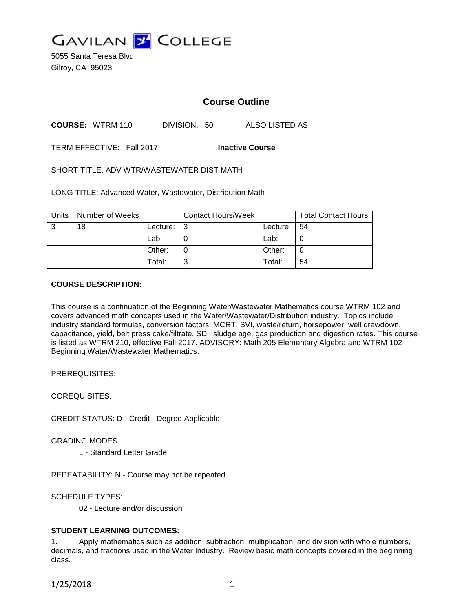

5055 Santa Teresa Blvd Gilroy, CA 95023

# **Course Outline**

**COURSE:** WTRM 110 DIVISION: 50 ALSO LISTED AS:

TERM EFFECTIVE: Fall 2017 **Inactive Course**

SHORT TITLE: ADV WTR/WASTEWATER DIST MATH

LONG TITLE: Advanced Water, Wastewater, Distribution Math

| Units | Number of Weeks |            | <b>Contact Hours/Week</b> |          | <b>Total Contact Hours</b> |
|-------|-----------------|------------|---------------------------|----------|----------------------------|
| 3     | 18              | Lecture: I | ∣3                        | Lecture: | - 54                       |
|       |                 | Lab:       |                           | Lab:     | 0                          |
|       |                 | Other:     |                           | Other:   | 0                          |
|       |                 | Total:     | ີ                         | Total:   | 54                         |

#### **COURSE DESCRIPTION:**

This course is a continuation of the Beginning Water/Wastewater Mathematics course WTRM 102 and covers advanced math concepts used in the Water/Wastewater/Distribution industry. Topics include industry standard formulas, conversion factors, MCRT, SVI, waste/return, horsepower, well drawdown, capacitance, yield, belt press cake/filtrate, SDI, sludge age, gas production and digestion rates. This course is listed as WTRM 210, effective Fall 2017. ADVISORY: Math 205 Elementary Algebra and WTRM 102 Beginning Water/Wastewater Mathematics.

PREREQUISITES:

COREQUISITES:

CREDIT STATUS: D - Credit - Degree Applicable

GRADING MODES

L - Standard Letter Grade

REPEATABILITY: N - Course may not be repeated

SCHEDULE TYPES:

02 - Lecture and/or discussion

#### **STUDENT LEARNING OUTCOMES:**

1. Apply mathematics such as addition, subtraction, multiplication, and division with whole numbers, decimals, and fractions used in the Water Industry. Review basic math concepts covered in the beginning class.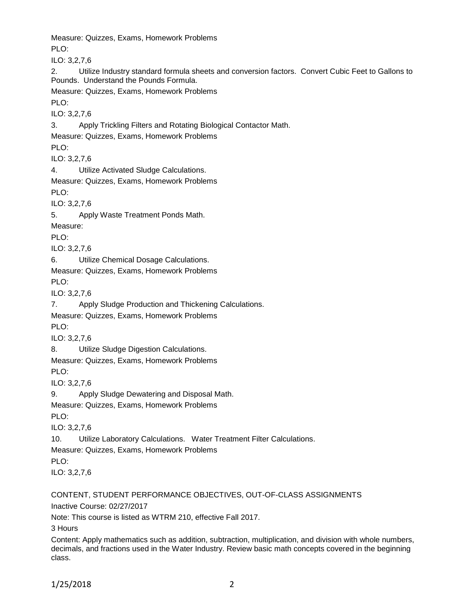Measure: Quizzes, Exams, Homework Problems PLO<sup>.</sup> ILO: 3,2,7,6 2. Utilize Industry standard formula sheets and conversion factors. Convert Cubic Feet to Gallons to Pounds. Understand the Pounds Formula. Measure: Quizzes, Exams, Homework Problems PLO: ILO: 3,2,7,6 3. Apply Trickling Filters and Rotating Biological Contactor Math. Measure: Quizzes, Exams, Homework Problems PLO: ILO: 3,2,7,6 4. Utilize Activated Sludge Calculations. Measure: Quizzes, Exams, Homework Problems PLO: ILO: 3,2,7,6 5. Apply Waste Treatment Ponds Math. Measure: PLO: ILO: 3,2,7,6 6. Utilize Chemical Dosage Calculations. Measure: Quizzes, Exams, Homework Problems PLO: ILO: 3,2,7,6 7. Apply Sludge Production and Thickening Calculations. Measure: Quizzes, Exams, Homework Problems PLO: ILO: 3,2,7,6 8. Utilize Sludge Digestion Calculations. Measure: Quizzes, Exams, Homework Problems PLO: ILO: 3,2,7,6 9. Apply Sludge Dewatering and Disposal Math. Measure: Quizzes, Exams, Homework Problems PLO: ILO: 3,2,7,6 10. Utilize Laboratory Calculations. Water Treatment Filter Calculations. Measure: Quizzes, Exams, Homework Problems PLO: ILO: 3,2,7,6

## CONTENT, STUDENT PERFORMANCE OBJECTIVES, OUT-OF-CLASS ASSIGNMENTS Inactive Course: 02/27/2017

Note: This course is listed as WTRM 210, effective Fall 2017.

3 Hours

Content: Apply mathematics such as addition, subtraction, multiplication, and division with whole numbers, decimals, and fractions used in the Water Industry. Review basic math concepts covered in the beginning class.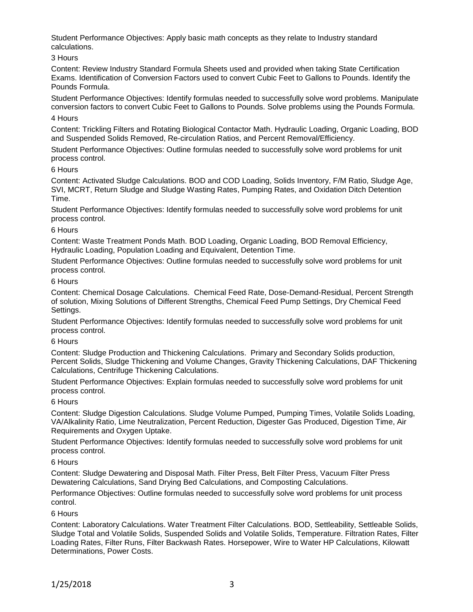Student Performance Objectives: Apply basic math concepts as they relate to Industry standard calculations.

## 3 Hours

Content: Review Industry Standard Formula Sheets used and provided when taking State Certification Exams. Identification of Conversion Factors used to convert Cubic Feet to Gallons to Pounds. Identify the Pounds Formula.

Student Performance Objectives: Identify formulas needed to successfully solve word problems. Manipulate conversion factors to convert Cubic Feet to Gallons to Pounds. Solve problems using the Pounds Formula.

#### 4 Hours

Content: Trickling Filters and Rotating Biological Contactor Math. Hydraulic Loading, Organic Loading, BOD and Suspended Solids Removed, Re-circulation Ratios, and Percent Removal/Efficiency.

Student Performance Objectives: Outline formulas needed to successfully solve word problems for unit process control.

#### 6 Hours

Content: Activated Sludge Calculations. BOD and COD Loading, Solids Inventory, F/M Ratio, Sludge Age, SVI, MCRT, Return Sludge and Sludge Wasting Rates, Pumping Rates, and Oxidation Ditch Detention Time.

Student Performance Objectives: Identify formulas needed to successfully solve word problems for unit process control.

#### 6 Hours

Content: Waste Treatment Ponds Math. BOD Loading, Organic Loading, BOD Removal Efficiency, Hydraulic Loading, Population Loading and Equivalent, Detention Time.

Student Performance Objectives: Outline formulas needed to successfully solve word problems for unit process control.

#### 6 Hours

Content: Chemical Dosage Calculations. Chemical Feed Rate, Dose-Demand-Residual, Percent Strength of solution, Mixing Solutions of Different Strengths, Chemical Feed Pump Settings, Dry Chemical Feed Settings.

Student Performance Objectives: Identify formulas needed to successfully solve word problems for unit process control.

## 6 Hours

Content: Sludge Production and Thickening Calculations. Primary and Secondary Solids production, Percent Solids, Sludge Thickening and Volume Changes, Gravity Thickening Calculations, DAF Thickening Calculations, Centrifuge Thickening Calculations.

Student Performance Objectives: Explain formulas needed to successfully solve word problems for unit process control.

## 6 Hours

Content: Sludge Digestion Calculations. Sludge Volume Pumped, Pumping Times, Volatile Solids Loading, VA/Alkalinity Ratio, Lime Neutralization, Percent Reduction, Digester Gas Produced, Digestion Time, Air Requirements and Oxygen Uptake.

Student Performance Objectives: Identify formulas needed to successfully solve word problems for unit process control.

## 6 Hours

Content: Sludge Dewatering and Disposal Math. Filter Press, Belt Filter Press, Vacuum Filter Press Dewatering Calculations, Sand Drying Bed Calculations, and Composting Calculations.

Performance Objectives: Outline formulas needed to successfully solve word problems for unit process control.

## 6 Hours

Content: Laboratory Calculations. Water Treatment Filter Calculations. BOD, Settleability, Settleable Solids, Sludge Total and Volatile Solids, Suspended Solids and Volatile Solids, Temperature. Filtration Rates, Filter Loading Rates, Filter Runs, Filter Backwash Rates. Horsepower, Wire to Water HP Calculations, Kilowatt Determinations, Power Costs.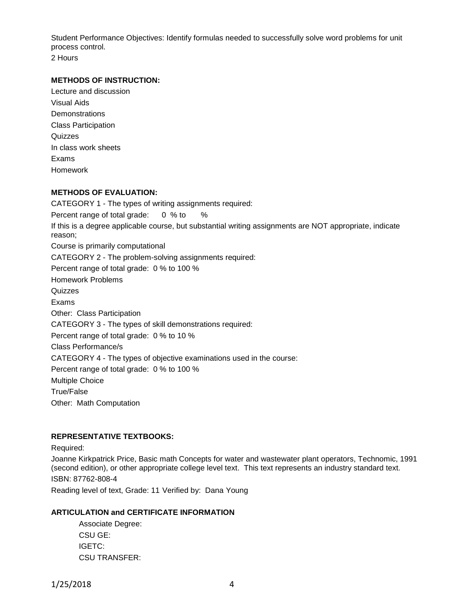Student Performance Objectives: Identify formulas needed to successfully solve word problems for unit process control.

2 Hours

## **METHODS OF INSTRUCTION:**

Lecture and discussion Visual Aids **Demonstrations** Class Participation Quizzes In class work sheets Exams Homework

## **METHODS OF EVALUATION:**

CATEGORY 1 - The types of writing assignments required: Percent range of total grade: 0 % to % If this is a degree applicable course, but substantial writing assignments are NOT appropriate, indicate reason; Course is primarily computational CATEGORY 2 - The problem-solving assignments required: Percent range of total grade: 0 % to 100 % Homework Problems **Quizzes** Exams Other: Class Participation CATEGORY 3 - The types of skill demonstrations required: Percent range of total grade: 0 % to 10 % Class Performance/s CATEGORY 4 - The types of objective examinations used in the course: Percent range of total grade: 0 % to 100 % Multiple Choice True/False Other: Math Computation

## **REPRESENTATIVE TEXTBOOKS:**

## Required:

Joanne Kirkpatrick Price, Basic math Concepts for water and wastewater plant operators, Technomic, 1991 (second edition), or other appropriate college level text. This text represents an industry standard text. ISBN: 87762-808-4

Reading level of text, Grade: 11 Verified by: Dana Young

## **ARTICULATION and CERTIFICATE INFORMATION**

Associate Degree: CSU GE: IGETC: CSU TRANSFER: